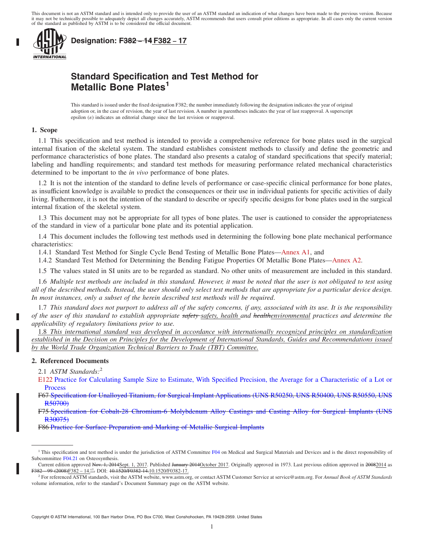This document is not an ASTM standard and is intended only to provide the user of an ASTM standard an indication of what changes have been made to the previous version. Because it may not be technically possible to adequately depict all changes accurately, ASTM recommends that users consult prior editions as appropriate. In all cases only the current version<br>of the standard as published by ASTM i



**Designation: F382 − 14 F382 − 17**

## **Standard Specification and Test Method for Metallic Bone Plates<sup>1</sup>**

This standard is issued under the fixed designation F382; the number immediately following the designation indicates the year of original adoption or, in the case of revision, the year of last revision. A number in parentheses indicates the year of last reapproval. A superscript epsilon  $(\varepsilon)$  indicates an editorial change since the last revision or reapproval.

#### **1. Scope**

1.1 This specification and test method is intended to provide a comprehensive reference for bone plates used in the surgical internal fixation of the skeletal system. The standard establishes consistent methods to classify and define the geometric and performance characteristics of bone plates. The standard also presents a catalog of standard specifications that specify material; labeling and handling requirements; and standard test methods for measuring performance related mechanical characteristics determined to be important to the *in vivo* performance of bone plates.

1.2 It is not the intention of the standard to define levels of performance or case-specific clinical performance for bone plates, as insufficient knowledge is available to predict the consequences or their use in individual patients for specific activities of daily living. Futhermore, it is not the intention of the standard to describe or specify specific designs for bone plates used in the surgical internal fixation of the skeletal system.

1.3 This document may not be appropriate for all types of bone plates. The user is cautioned to consider the appropriateness of the standard in view of a particular bone plate and its potential application.

1.4 This document includes the following test methods used in determining the following bone plate mechanical performance characteristics:

1.4.1 Standard Test Method for Single Cycle Bend Testing of Metallic Bone Plates—Annex A1, and

1.4.2 Standard Test Method for Determining the Bending Fatigue Properties Of Metallic Bone Plates—Annex A2.

1.5 The values stated in SI units are to be regarded as standard. No other units of measurement are included in this standard.

1.6 *Multiple test methods are included in this standard. However, it must be noted that the user is not obligated to test using all of the described methods. Instead, the user should only select test methods that are appropriate for a particular device design. In most instances, only a subset of the herein described test methods will be required*.

1.7 *This standard does not purport to address all of the safety concerns, if any, associated with its use. It is the responsibility of the user of this standard to establish appropriate safety safety, health and healthenvironmental practices and determine the applicability of regulatory limitations prior to use.*

1.8 *This international standard was developed in accordance with internationally recognized principles on standardization established in the Decision on Principles for the Development of International Standards, Guides and Recommendations issued by the World Trade Organization Technical Barriers to Trade (TBT) Committee.*

#### **2. Referenced Documents**

2.1 *ASTM Standards:*<sup>2</sup>

F86 Practice for Surface Preparation and Marking of Metallic Surgical Implants

E122 Practice for Calculating Sample Size to Estimate, With Specified Precision, the Average for a Characteristic of a Lot or Process

F67 Specification for Unalloyed Titanium, for Surgical Implant Applications (UNS R50250, UNS R50400, UNS R50550, UNS R50700)

F75 Specification for Cobalt-28 Chromium-6 Molybdenum Alloy Castings and Casting Alloy for Surgical Implants (UNS R30075)

<sup>&</sup>lt;sup>1</sup> This specification and test method is under the jurisdiction of ASTM Committee F04 on Medical and Surgical Materials and Devices and is the direct responsibility of Subcommittee F04.21 on Osteosynthesis.

Current edition approved Nov. 1, 2014Sept. 1, 2017. Published January 2014October 2017. Originally approved in 1973. Last previous edition approved in 20082014 as  $F382 - 99 (2008)F382 - 14.61 - 1520F0382 - 14.1520F0382 - 17.$ 

<sup>2</sup> For referenced ASTM standards, visit the ASTM website, www.astm.org, or contact ASTM Customer Service at service@astm.org. For *Annual Book of ASTM Standards* volume information, refer to the standard's Document Summary page on the ASTM website.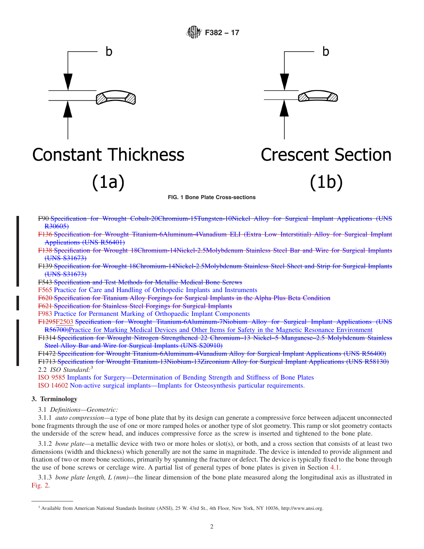

**Constant Thickness** 

 $(1a)$ 



**FIG. 1 Bone Plate Cross-sections**

- F90 Specification for Wrought Cobalt-20Chromium-15Tungsten-10Nickel Alloy for Surgical Implant Applications (UNS R30605)
- F136 Specification for Wrought Titanium-6Aluminum-4Vanadium ELI (Extra Low Interstitial) Alloy for Surgical Implant Applications (UNS R56401)
- F138 Specification for Wrought 18Chromium-14Nickel-2.5Molybdenum Stainless Steel Bar and Wire for Surgical Implants (UNS S31673)
- F139 Specification for Wrought 18Chromium-14Nickel-2.5Molybdenum Stainless Steel Sheet and Strip for Surgical Implants (UNS S31673)

F543 Specification and Test Methods for Metallic Medical Bone Screws

F565 Practice for Care and Handling of Orthopedic Implants and Instruments

F620 Specification for Titanium Alloy Forgings for Surgical Implants in the Alpha Plus Beta Condition

F621 Specification for Stainless Steel Forgings for Surgical Implants

F983 Practice for Permanent Marking of Orthopaedic Implant Components

F1295F2503 Specification for Wrought Titanium-6Aluminum-7Niobium Alloy for Surgical Implant Applications (UNS R56700)Practice for Marking Medical Devices and Other Items for Safety in the Magnetic Resonance Environment

F1314 Specification for Wrought Nitrogen Strengthened 22 Chromium–13 Nickel–5 Manganese–2.5 Molybdenum Stainless Steel Alloy Bar and Wire for Surgical Implants (UNS S20910)

F1472 Specification for Wrought Titanium-6Aluminum-4Vanadium Alloy for Surgical Implant Applications (UNS R56400) F1713 Specification for Wrought Titanium-13Niobium-13Zirconium Alloy for Surgical Implant Applications (UNS R58130) 2.2 *ISO Standard:*<sup>3</sup>

ISO 9585 Implants for Surgery—Determination of Bending Strength and Stiffness of Bone Plates

ISO 14602 Non-active surgical implants—Implants for Osteosynthesis particular requirements.

### **3. Terminology**

3.1 *Definitions—Geometric:*

3.1.1 *auto compression—*a type of bone plate that by its design can generate a compressive force between adjacent unconnected bone fragments through the use of one or more ramped holes or another type of slot geometry. This ramp or slot geometry contacts the underside of the screw head, and induces compressive force as the screw is inserted and tightened to the bone plate.

3.1.2 *bone plate—*a metallic device with two or more holes or slot(s), or both, and a cross section that consists of at least two dimensions (width and thickness) which generally are not the same in magnitude. The device is intended to provide alignment and fixation of two or more bone sections, primarily by spanning the fracture or defect. The device is typically fixed to the bone through the use of bone screws or cerclage wire. A partial list of general types of bone plates is given in Section 4.1.

3.1.3 *bone plate length, L (mm)—*the linear dimension of the bone plate measured along the longitudinal axis as illustrated in Fig. 2.

<sup>3</sup> Available from American National Standards Institute (ANSI), 25 W. 43rd St., 4th Floor, New York, NY 10036, http://www.ansi.org.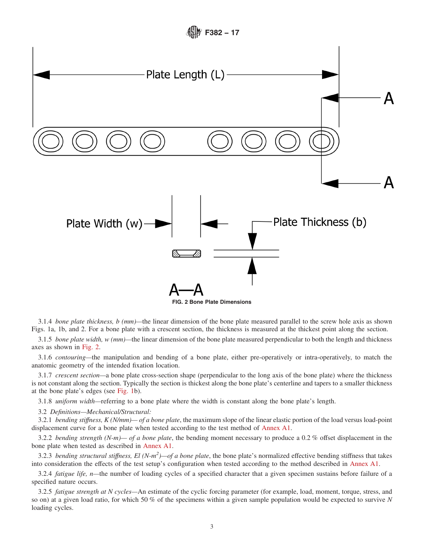

3.1.4 *bone plate thickness, b (mm)—*the linear dimension of the bone plate measured parallel to the screw hole axis as shown Figs. 1a, 1b, and 2. For a bone plate with a crescent section, the thickness is measured at the thickest point along the section.

3.1.5 *bone plate width, w (mm)—*the linear dimension of the bone plate measured perpendicular to both the length and thickness axes as shown in Fig. 2.

3.1.6 *contouring—*the manipulation and bending of a bone plate, either pre-operatively or intra-operatively, to match the anatomic geometry of the intended fixation location.

3.1.7 *crescent section—*a bone plate cross-section shape (perpendicular to the long axis of the bone plate) where the thickness is not constant along the section. Typically the section is thickest along the bone plate's centerline and tapers to a smaller thickness at the bone plate's edges (see Fig. 1b).

3.1.8 *uniform width—*referring to a bone plate where the width is constant along the bone plate's length.

3.2 *Definitions—Mechanical/Structural:*

3.2.1 *bending stiffness, K (N/mm)— of a bone plate*, the maximum slope of the linear elastic portion of the load versus load-point displacement curve for a bone plate when tested according to the test method of Annex A1.

3.2.2 *bending strength (N-m)— of a bone plate*, the bending moment necessary to produce a 0.2 % offset displacement in the bone plate when tested as described in Annex A1.

3.2.3 *bending structural stiffness, El (N-m<sup>2</sup> )—of a bone plate*, the bone plate's normalized effective bending stiffness that takes into consideration the effects of the test setup's configuration when tested according to the method described in Annex A1.

3.2.4 *fatigue life, n—*the number of loading cycles of a specified character that a given specimen sustains before failure of a specified nature occurs.

3.2.5 *fatigue strength at N cycles—*An estimate of the cyclic forcing parameter (for example, load, moment, torque, stress, and so on) at a given load ratio, for which 50 % of the specimens within a given sample population would be expected to survive *N* loading cycles.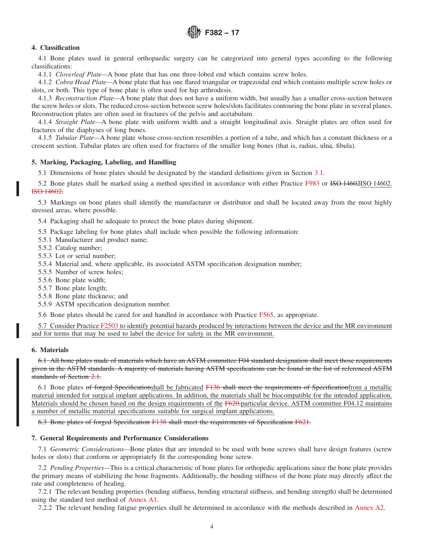### **4. Classification**

4.1 Bone plates used in general orthopaedic surgery can be categorized into general types according to the following classifications:

4.1.1 *Cloverleaf Plate—*A bone plate that has one three-lobed end which contains screw holes.

4.1.2 *Cobra Head Plate—*A bone plate that has one flared triangular or trapezoidal end which contains multiple screw holes or slots, or both. This type of bone plate is often used for hip arthrodesis.

4.1.3 *Reconstruction Plate—*A bone plate that does not have a uniform width, but usually has a smaller cross-section between the screw holes or slots. The reduced cross-section between screw holes/slots facilitates contouring the bone plate in several planes. Reconstruction plates are often used in fractures of the pelvis and acetabulum.

4.1.4 *Straight Plate—*A bone plate with uniform width and a straight longitudinal axis. Straight plates are often used for fractures of the diaphyses of long bones.

4.1.5 *Tubular Plate—*A bone plate whose cross-section resembles a portion of a tube, and which has a constant thickness or a crescent section. Tubular plates are often used for fractures of the smaller long bones (that is, radius, ulna, fibula).

#### **5. Marking, Packaging, Labeling, and Handling**

5.1 Dimensions of bone plates should be designated by the standard definitions given in Section 3.1.

5.2 Bone plates shall be marked using a method specified in accordance with either Practice F983 or ISO 14602ISO 14602. ISO 14602.

5.3 Markings on bone plates shall identify the manufacturer or distributor and shall be located away from the most highly stressed areas, where possible.

5.4 Packaging shall be adequate to protect the bone plates during shipment.

5.5 Package labeling for bone plates shall include when possible the following information:

- 5.5.1 Manufacturer and product name;
- 5.5.2 Catalog number;
- 5.5.3 Lot or serial number;
- 5.5.4 Material and, where applicable, its associated ASTM specification designation number;
- 5.5.5 Number of screw holes;
- 5.5.6 Bone plate width;
- 5.5.7 Bone plate length;
- 5.5.8 Bone plate thickness; and
- 5.5.9 ASTM specification designation number.

5.6 Bone plates should be cared for and handled in accordance with Practice F565, as appropriate.

5.7 Consider Practice F2503 to identify potential hazards produced by interactions between the device and the MR environment and for terms that may be used to label the device for safety in the MR environment.

#### **6. Materials**

6.1 All bone plates made of materials which have an ASTM committee F04 standard designation shall meet those requirements given in the ASTM standards. A majority of materials having ASTM specifications can be found in the list of referenced ASTM standards of Section 2.1.

6.1 Bone plates of forged Specificationshall be fabricated F136 shall meet the requirements of Specificationfrom a metallic material intended for surgical implant applications. In addition, the materials shall be biocompatible for the intended application. Materials should be chosen based on the design requirements of the F620-particular device. ASTM committee F04.12 maintains a number of metallic material specifications suitable for surgical implant applications.

6.3 Bone plates of forged Specification F138 shall meet the requirements of Specification F621.

#### **7. General Requirements and Performance Considerations**

7.1 *Geometric Considerations—*Bone plates that are intended to be used with bone screws shall have design features (screw holes or slots) that conform or appropriately fit the corresponding bone screw.

7.2 *Pending Properties—*This is a critical characteristic of bone plates for orthopedic applications since the bone plate provides the primary means of stabilizing the bone fragments. Additionally, the bending stiffness of the bone plate may directly affect the rate and completeness of healing.

7.2.1 The relevant bending properties (bending stiffness, bending structural stiffness, and bending strength) shall be determined using the standard test method of Annex A1.

7.2.2 The relevant bending fatigue properties shall be determined in accordance with the methods described in Annex A2.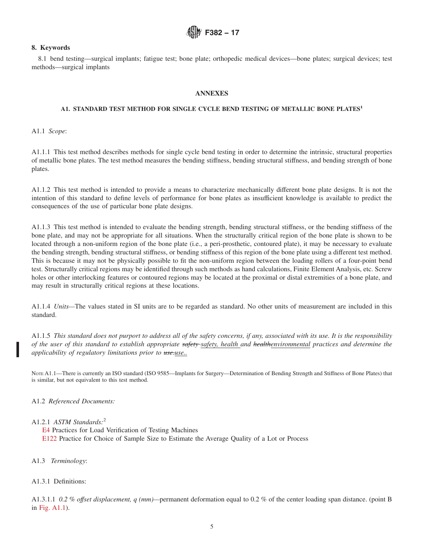#### **8. Keywords**

8.1 bend testing—surgical implants; fatigue test; bone plate; orthopedic medical devices—bone plates; surgical devices; test methods—surgical implants

### **ANNEXES**

### **A1. STANDARD TEST METHOD FOR SINGLE CYCLE BEND TESTING OF METALLIC BONE PLATES<sup>1</sup>**

A1.1 *Scope*:

A1.1.1 This test method describes methods for single cycle bend testing in order to determine the intrinsic, structural properties of metallic bone plates. The test method measures the bending stiffness, bending structural stiffness, and bending strength of bone plates.

A1.1.2 This test method is intended to provide a means to characterize mechanically different bone plate designs. It is not the intention of this standard to define levels of performance for bone plates as insufficient knowledge is available to predict the consequences of the use of particular bone plate designs.

A1.1.3 This test method is intended to evaluate the bending strength, bending structural stiffness, or the bending stiffness of the bone plate, and may not be appropriate for all situations. When the structurally critical region of the bone plate is shown to be located through a non-uniform region of the bone plate (i.e., a peri-prosthetic, contoured plate), it may be necessary to evaluate the bending strength, bending structural stiffness, or bending stiffness of this region of the bone plate using a different test method. This is because it may not be physically possible to fit the non-uniform region between the loading rollers of a four-point bend test. Structurally critical regions may be identified through such methods as hand calculations, Finite Element Analysis, etc. Screw holes or other interlocking features or contoured regions may be located at the proximal or distal extremities of a bone plate, and may result in structurally critical regions at these locations.

A1.1.4 *Units—*The values stated in SI units are to be regarded as standard. No other units of measurement are included in this standard.

A1.1.5 *This standard does not purport to address all of the safety concerns, if any, associated with its use. It is the responsibility of the user of this standard to establish appropriate safety safety, health and healthenvironmental practices and determine the applicability of regulatory limitations prior to use-use..* 

NOTE A1.1—There is currently an ISO standard (ISO 9585—Implants for Surgery—Determination of Bending Strength and Stiffness of Bone Plates) that is similar, but not equivalent to this test method.

A1.2 *Referenced Documents:*

A1.2.1 *ASTM Standards:*<sup>2</sup>

E4 Practices for Load Verification of Testing Machines E122 Practice for Choice of Sample Size to Estimate the Average Quality of a Lot or Process

A1.3 *Terminology*:

A1.3.1 Definitions:

A1.3.1.1 *0.2 % offset displacement, q (mm)—*permanent deformation equal to 0.2 % of the center loading span distance. (point B in Fig. A1.1).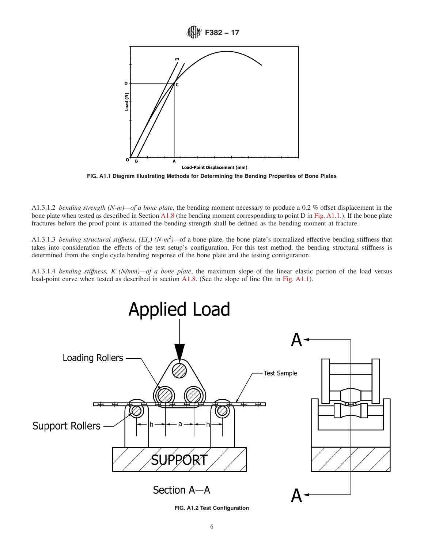

**FIG. A1.1 Diagram Illustrating Methods for Determining the Bending Properties of Bone Plates**

A1.3.1.2 *bending strength (N-m)—of a bone plate*, the bending moment necessary to produce a 0.2 % offset displacement in the bone plate when tested as described in Section A1.8 (the bending moment corresponding to point D in Fig. A1.1.). If the bone plate fractures before the proof point is attained the bending strength shall be defined as the bending moment at fracture.

A1.3.1.3 *bending structural stiffness,*  $(EI_e)$  (N-m<sup>2</sup>)—of a bone plate, the bone plate's normalized effective bending stiffness that takes into consideration the effects of the test setup's configuration. For this test method, the bending structural stiffness is determined from the single cycle bending response of the bone plate and the testing configuration.

A1.3.1.4 *bending stiffness, K (N/mm)—of a bone plate*, the maximum slope of the linear elastic portion of the load versus load-point curve when tested as described in section A1.8. (See the slope of line Om in Fig. A1.1).



**FIG. A1.2 Test Configuration**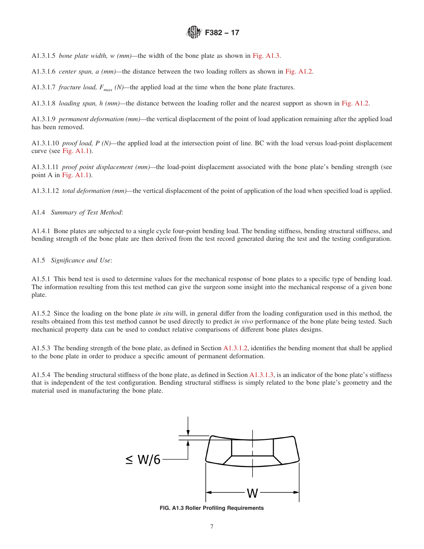A1.3.1.5 *bone plate width, w (mm)—*the width of the bone plate as shown in Fig. A1.3.

A1.3.1.6 *center span, a (mm)—*the distance between the two loading rollers as shown in Fig. A1.2.

A1.3.1.7 *fracture load,*  $F_{max}$  (N)—the applied load at the time when the bone plate fractures.

A1.3.1.8 *loading span, h (mm)—*the distance between the loading roller and the nearest support as shown in Fig. A1.2.

A1.3.1.9 *permanent deformation (mm)—*the vertical displacement of the point of load application remaining after the applied load has been removed.

A1.3.1.10 *proof load, P (N)—*the applied load at the intersection point of line. BC with the load versus load-point displacement curve (see Fig. A1.1).

A1.3.1.11 *proof point displacement (mm)—*the load-point displacement associated with the bone plate's bending strength (see point A in Fig. A1.1).

A1.3.1.12 *total deformation (mm)—*the vertical displacement of the point of application of the load when specified load is applied.

A1.4 *Summary of Test Method*:

A1.4.1 Bone plates are subjected to a single cycle four-point bending load. The bending stiffness, bending structural stiffness, and bending strength of the bone plate are then derived from the test record generated during the test and the testing configuration.

#### A1.5 *Significance and Use*:

A1.5.1 This bend test is used to determine values for the mechanical response of bone plates to a specific type of bending load. The information resulting from this test method can give the surgeon some insight into the mechanical response of a given bone plate.

A1.5.2 Since the loading on the bone plate *in situ* will, in general differ from the loading configuration used in this method, the results obtained from this test method cannot be used directly to predict *in vivo* performance of the bone plate being tested. Such mechanical property data can be used to conduct relative comparisons of different bone plates designs.

A1.5.3 The bending strength of the bone plate, as defined in Section A1.3.1.2, identifies the bending moment that shall be applied to the bone plate in order to produce a specific amount of permanent deformation.

A1.5.4 The bending structural stiffness of the bone plate, as defined in Section A1.3.1.3, is an indicator of the bone plate's stiffness that is independent of the test configuration. Bending structural stiffness is simply related to the bone plate's geometry and the material used in manufacturing the bone plate.



**FIG. A1.3 Roller Profiling Requirements**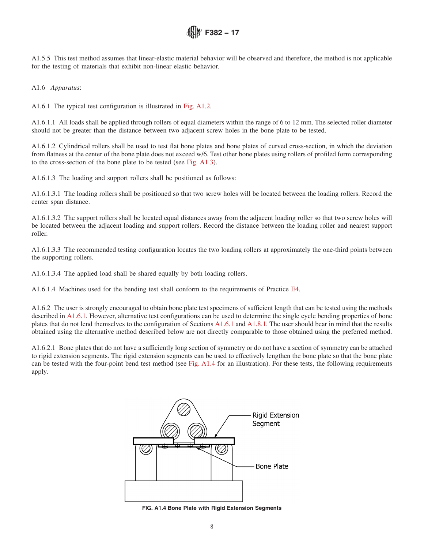A1.5.5 This test method assumes that linear-elastic material behavior will be observed and therefore, the method is not applicable for the testing of materials that exhibit non-linear elastic behavior.

A1.6 *Apparatus*:

A1.6.1 The typical test configuration is illustrated in Fig. A1.2.

A1.6.1.1 All loads shall be applied through rollers of equal diameters within the range of 6 to 12 mm. The selected roller diameter should not be greater than the distance between two adjacent screw holes in the bone plate to be tested.

A1.6.1.2 Cylindrical rollers shall be used to test flat bone plates and bone plates of curved cross-section, in which the deviation from flatness at the center of the bone plate does not exceed w/6. Test other bone plates using rollers of profiled form corresponding to the cross-section of the bone plate to be tested (see Fig. A1.3).

A1.6.1.3 The loading and support rollers shall be positioned as follows:

A1.6.1.3.1 The loading rollers shall be positioned so that two screw holes will be located between the loading rollers. Record the center span distance.

A1.6.1.3.2 The support rollers shall be located equal distances away from the adjacent loading roller so that two screw holes will be located between the adjacent loading and support rollers. Record the distance between the loading roller and nearest support roller.

A1.6.1.3.3 The recommended testing configuration locates the two loading rollers at approximately the one-third points between the supporting rollers.

A1.6.1.3.4 The applied load shall be shared equally by both loading rollers.

A1.6.1.4 Machines used for the bending test shall conform to the requirements of Practice E4.

A1.6.2 The user is strongly encouraged to obtain bone plate test specimens of sufficient length that can be tested using the methods described in A1.6.1. However, alternative test configurations can be used to determine the single cycle bending properties of bone plates that do not lend themselves to the configuration of Sections A1.6.1 and A1.8.1. The user should bear in mind that the results obtained using the alternative method described below are not directly comparable to those obtained using the preferred method.

A1.6.2.1 Bone plates that do not have a sufficiently long section of symmetry or do not have a section of symmetry can be attached to rigid extension segments. The rigid extension segments can be used to effectively lengthen the bone plate so that the bone plate can be tested with the four-point bend test method (see Fig. A1.4 for an illustration). For these tests, the following requirements apply.



**FIG. A1.4 Bone Plate with Rigid Extension Segments**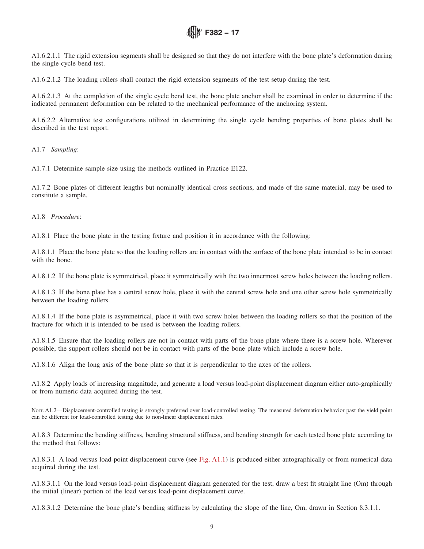A1.6.2.1.1 The rigid extension segments shall be designed so that they do not interfere with the bone plate's deformation during the single cycle bend test.

A1.6.2.1.2 The loading rollers shall contact the rigid extension segments of the test setup during the test.

A1.6.2.1.3 At the completion of the single cycle bend test, the bone plate anchor shall be examined in order to determine if the indicated permanent deformation can be related to the mechanical performance of the anchoring system.

A1.6.2.2 Alternative test configurations utilized in determining the single cycle bending properties of bone plates shall be described in the test report.

A1.7 *Sampling*:

A1.7.1 Determine sample size using the methods outlined in Practice E122.

A1.7.2 Bone plates of different lengths but nominally identical cross sections, and made of the same material, may be used to constitute a sample.

A1.8 *Procedure*:

A1.8.1 Place the bone plate in the testing fixture and position it in accordance with the following:

A1.8.1.1 Place the bone plate so that the loading rollers are in contact with the surface of the bone plate intended to be in contact with the bone.

A1.8.1.2 If the bone plate is symmetrical, place it symmetrically with the two innermost screw holes between the loading rollers.

A1.8.1.3 If the bone plate has a central screw hole, place it with the central screw hole and one other screw hole symmetrically between the loading rollers.

A1.8.1.4 If the bone plate is asymmetrical, place it with two screw holes between the loading rollers so that the position of the fracture for which it is intended to be used is between the loading rollers.

A1.8.1.5 Ensure that the loading rollers are not in contact with parts of the bone plate where there is a screw hole. Wherever possible, the support rollers should not be in contact with parts of the bone plate which include a screw hole.

A1.8.1.6 Align the long axis of the bone plate so that it is perpendicular to the axes of the rollers.

A1.8.2 Apply loads of increasing magnitude, and generate a load versus load-point displacement diagram either auto-graphically or from numeric data acquired during the test.

NOTE A1.2—Displacement-controlled testing is strongly preferred over load-controlled testing. The measured deformation behavior past the yield point can be different for load-controlled testing due to non-linear displacement rates.

A1.8.3 Determine the bending stiffness, bending structural stiffness, and bending strength for each tested bone plate according to the method that follows:

A1.8.3.1 A load versus load-point displacement curve (see Fig. A1.1) is produced either autographically or from numerical data acquired during the test.

A1.8.3.1.1 On the load versus load-point displacement diagram generated for the test, draw a best fit straight line (Om) through the initial (linear) portion of the load versus load-point displacement curve.

A1.8.3.1.2 Determine the bone plate's bending stiffness by calculating the slope of the line, Om, drawn in Section 8.3.1.1.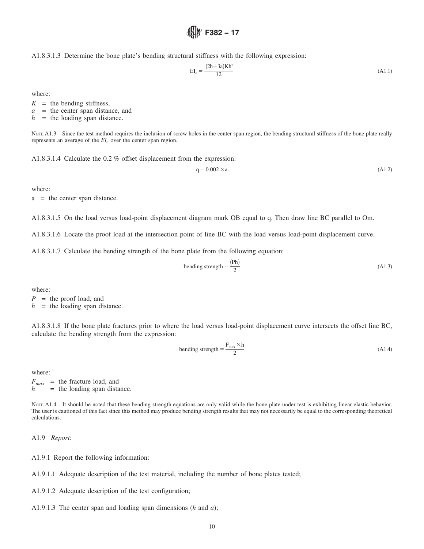A1.8.3.1.3 Determine the bone plate's bending structural stiffness with the following expression:

$$
EI_e = \frac{(2h + 3a)Kh^2}{12}
$$
 (A1.1)

where:

 $K =$  the bending stiffness,

*a* = the center span distance, and

 $h$  = the loading span distance.

NOTE A1.3—Since the test method requires the inclusion of screw holes in the center span region, the bending structural stiffness of the bone plate really represents an average of the  $EI_e$  over the center span region.

**F382 − 17**

A1.8.3.1.4 Calculate the 0.2 % offset displacement from the expression:

$$
q = 0.002 \times a \tag{A1.2}
$$

where:

a = the center span distance.

A1.8.3.1.5 On the load versus load-point displacement diagram mark OB equal to q. Then draw line BC parallel to Om.

A1.8.3.1.6 Locate the proof load at the intersection point of line BC with the load versus load-point displacement curve.

A1.8.3.1.7 Calculate the bending strength of the bone plate from the following equation:

bending strength = 
$$
\frac{(\text{Ph})}{2}
$$
 (A1.3)

where:

*P* = the proof load, and

 $h$  = the loading span distance.

A1.8.3.1.8 If the bone plate fractures prior to where the load versus load-point displacement curve intersects the offset line BC, calculate the bending strength from the expression:

bending strength = 
$$
\frac{F_{\text{max}} \times h}{2}
$$
 (A1.4)

where:

 $F_{max}$  = the fracture load, and  $h$  = the loading span dista = the loading span distance.

Note A1.4—It should be noted that these bending strength equations are only valid while the bone plate under test is exhibiting linear elastic behavior. The user is cautioned of this fact since this method may produce bending strength results that may not necessarily be equal to the corresponding theoretical calculations.

A1.9 *Report*:

A1.9.1 Report the following information:

A1.9.1.1 Adequate description of the test material, including the number of bone plates tested;

- A1.9.1.2 Adequate description of the test configuration;
- A1.9.1.3 The center span and loading span dimensions (*h* and *a*);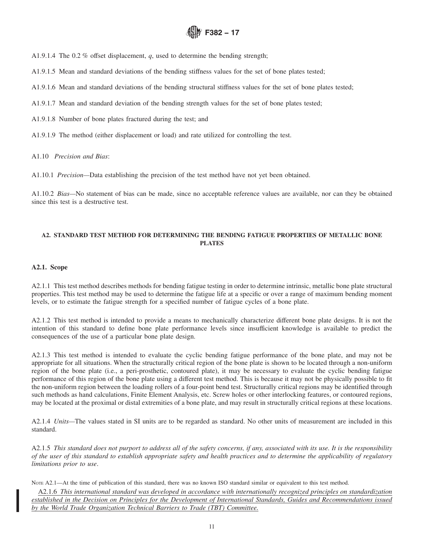A1.9.1.4 The 0.2 % offset displacement, *q*, used to determine the bending strength;

A1.9.1.5 Mean and standard deviations of the bending stiffness values for the set of bone plates tested;

A1.9.1.6 Mean and standard deviations of the bending structural stiffness values for the set of bone plates tested;

- A1.9.1.7 Mean and standard deviation of the bending strength values for the set of bone plates tested;
- A1.9.1.8 Number of bone plates fractured during the test; and
- A1.9.1.9 The method (either displacement or load) and rate utilized for controlling the test.

A1.10 *Precision and Bias*:

A1.10.1 *Precision—*Data establishing the precision of the test method have not yet been obtained.

A1.10.2 *Bias—*No statement of bias can be made, since no acceptable reference values are available, nor can they be obtained since this test is a destructive test.

### **A2. STANDARD TEST METHOD FOR DETERMINING THE BENDING FATIGUE PROPERTIES OF METALLIC BONE PLATES**

### **A2.1. Scope**

A2.1.1 This test method describes methods for bending fatigue testing in order to determine intrinsic, metallic bone plate structural properties. This test method may be used to determine the fatigue life at a specific or over a range of maximum bending moment levels, or to estimate the fatigue strength for a specified number of fatigue cycles of a bone plate.

A2.1.2 This test method is intended to provide a means to mechanically characterize different bone plate designs. It is not the intention of this standard to define bone plate performance levels since insufficient knowledge is available to predict the consequences of the use of a particular bone plate design.

A2.1.3 This test method is intended to evaluate the cyclic bending fatigue performance of the bone plate, and may not be appropriate for all situations. When the structurally critical region of the bone plate is shown to be located through a non-uniform region of the bone plate (i.e., a peri-prosthetic, contoured plate), it may be necessary to evaluate the cyclic bending fatigue performance of this region of the bone plate using a different test method. This is because it may not be physically possible to fit the non-uniform region between the loading rollers of a four-point bend test. Structurally critical regions may be identified through such methods as hand calculations, Finite Element Analysis, etc. Screw holes or other interlocking features, or contoured regions, may be located at the proximal or distal extremities of a bone plate, and may result in structurally critical regions at these locations.

A2.1.4 *Units—*The values stated in SI units are to be regarded as standard. No other units of measurement are included in this standard.

A2.1.5 *This standard does not purport to address all of the safety concerns, if any, associated with its use. It is the responsibility of the user of this standard to establish appropriate safety and health practices and to determine the applicability of regulatory limitations prior to use*.

Nore A2.1—At the time of publication of this standard, there was no known ISO standard similar or equivalent to this test method.

A2.1.6 *This international standard was developed in accordance with internationally recognized principles on standardization established in the Decision on Principles for the Development of International Standards, Guides and Recommendations issued by the World Trade Organization Technical Barriers to Trade (TBT) Committee.*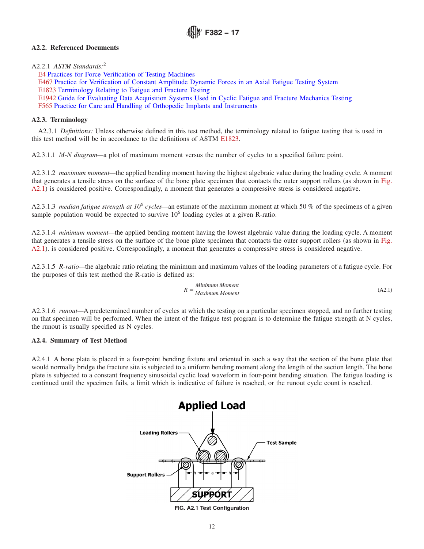## **A2.2. Referenced Documents**

#### A2.2.1 *ASTM Standards:*<sup>2</sup>

E4 Practices for Force Verification of Testing Machines E467 Practice for Verification of Constant Amplitude Dynamic Forces in an Axial Fatigue Testing System E1823 Terminology Relating to Fatigue and Fracture Testing E1942 Guide for Evaluating Data Acquisition Systems Used in Cyclic Fatigue and Fracture Mechanics Testing F565 Practice for Care and Handling of Orthopedic Implants and Instruments

#### **A2.3. Terminology**

A2.3.1 *Definitions:* Unless otherwise defined in this test method, the terminology related to fatigue testing that is used in this test method will be in accordance to the definitions of ASTM E1823.

A2.3.1.1 *M-N diagram—*a plot of maximum moment versus the number of cycles to a specified failure point.

A2.3.1.2 *maximum moment—*the applied bending moment having the highest algebraic value during the loading cycle. A moment that generates a tensile stress on the surface of the bone plate specimen that contacts the outer support rollers (as shown in Fig. A2.1) is considered positive. Correspondingly, a moment that generates a compressive stress is considered negative.

A2.3.1.3 *median fatigue strength at 10<sup>6</sup> cycles—*an estimate of the maximum moment at which 50 % of the specimens of a given sample population would be expected to survive 10<sup>6</sup> loading cycles at a given R-ratio.

A2.3.1.4 *minimum moment—*the applied bending moment having the lowest algebraic value during the loading cycle. A moment that generates a tensile stress on the surface of the bone plate specimen that contacts the outer support rollers (as shown in Fig. A2.1). is considered positive. Correspondingly, a moment that generates a compressive stress is considered negative.

A2.3.1.5 *R-ratio—*the algebraic ratio relating the minimum and maximum values of the loading parameters of a fatigue cycle. For the purposes of this test method the R-ratio is defined as:

$$
R = \frac{Minimum \, Moment}{Maximum \, Moment} \tag{A2.1}
$$

A2.3.1.6 *runout—*A predetermined number of cycles at which the testing on a particular specimen stopped, and no further testing on that specimen will be performed. When the intent of the fatigue test program is to determine the fatigue strength at N cycles, the runout is usually specified as N cycles.

#### **A2.4. Summary of Test Method**

A2.4.1 A bone plate is placed in a four-point bending fixture and oriented in such a way that the section of the bone plate that would normally bridge the fracture site is subjected to a uniform bending moment along the length of the section length. The bone plate is subjected to a constant frequency sinusoidal cyclic load waveform in four-point bending situation. The fatigue loading is continued until the specimen fails, a limit which is indicative of failure is reached, or the runout cycle count is reached.

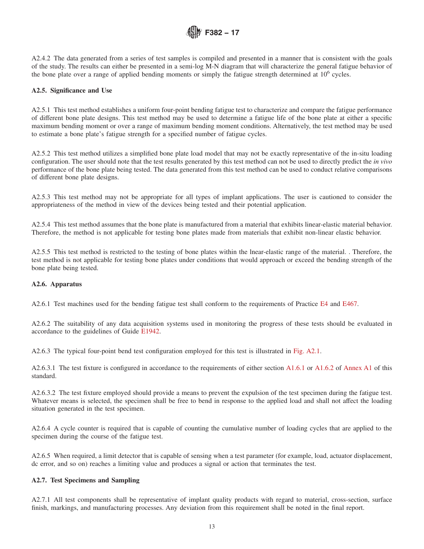

A2.4.2 The data generated from a series of test samples is compiled and presented in a manner that is consistent with the goals of the study. The results can either be presented in a semi-log M-N diagram that will characterize the general fatigue behavior of the bone plate over a range of applied bending moments or simply the fatigue strength determined at 10<sup>6</sup> cycles.

### **A2.5. Significance and Use**

A2.5.1 This test method establishes a uniform four-point bending fatigue test to characterize and compare the fatigue performance of different bone plate designs. This test method may be used to determine a fatigue life of the bone plate at either a specific maximum bending moment or over a range of maximum bending moment conditions. Alternatively, the test method may be used to estimate a bone plate's fatigue strength for a specified number of fatigue cycles.

A2.5.2 This test method utilizes a simplified bone plate load model that may not be exactly representative of the in-situ loading configuration. The user should note that the test results generated by this test method can not be used to directly predict the *in vivo* performance of the bone plate being tested. The data generated from this test method can be used to conduct relative comparisons of different bone plate designs.

A2.5.3 This test method may not be appropriate for all types of implant applications. The user is cautioned to consider the appropriateness of the method in view of the devices being tested and their potential application.

A2.5.4 This test method assumes that the bone plate is manufactured from a material that exhibits linear-elastic material behavior. Therefore, the method is not applicable for testing bone plates made from materials that exhibit non-linear elastic behavior.

A2.5.5 This test method is restricted to the testing of bone plates within the lnear-elastic range of the material. . Therefore, the test method is not applicable for testing bone plates under conditions that would approach or exceed the bending strength of the bone plate being tested.

### **A2.6. Apparatus**

A2.6.1 Test machines used for the bending fatigue test shall conform to the requirements of Practice E4 and E467.

A2.6.2 The suitability of any data acquisition systems used in monitoring the progress of these tests should be evaluated in accordance to the guidelines of Guide E1942.

A2.6.3 The typical four-point bend test configuration employed for this test is illustrated in Fig. A2.1.

A2.6.3.1 The test fixture is configured in accordance to the requirements of either section A1.6.1 or A1.6.2 of Annex A1 of this standard.

A2.6.3.2 The test fixture employed should provide a means to prevent the expulsion of the test specimen during the fatigue test. Whatever means is selected, the specimen shall be free to bend in response to the applied load and shall not affect the loading situation generated in the test specimen.

A2.6.4 A cycle counter is required that is capable of counting the cumulative number of loading cycles that are applied to the specimen during the course of the fatigue test.

A2.6.5 When required, a limit detector that is capable of sensing when a test parameter (for example, load, actuator displacement, dc error, and so on) reaches a limiting value and produces a signal or action that terminates the test.

#### **A2.7. Test Specimens and Sampling**

A2.7.1 All test components shall be representative of implant quality products with regard to material, cross-section, surface finish, markings, and manufacturing processes. Any deviation from this requirement shall be noted in the final report.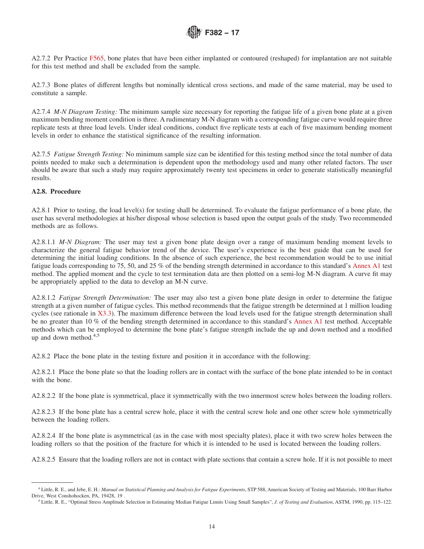A2.7.2 Per Practice F565, bone plates that have been either implanted or contoured (reshaped) for implantation are not suitable for this test method and shall be excluded from the sample.

A2.7.3 Bone plates of different lengths but nominally identical cross sections, and made of the same material, may be used to constitute a sample.

A2.7.4 *M-N Diagram Testing:* The minimum sample size necessary for reporting the fatigue life of a given bone plate at a given maximum bending moment condition is three. A rudimentary M-N diagram with a corresponding fatigue curve would require three replicate tests at three load levels. Under ideal conditions, conduct five replicate tests at each of five maximum bending moment levels in order to enhance the statistical significance of the resulting information.

A2.7.5 *Fatigue Strength Testing:* No minimum sample size can be identified for this testing method since the total number of data points needed to make such a determination is dependent upon the methodology used and many other related factors. The user should be aware that such a study may require approximately twenty test specimens in order to generate statistically meaningful results.

### **A2.8. Procedure**

A2.8.1 Prior to testing, the load level(s) for testing shall be determined. To evaluate the fatigue performance of a bone plate, the user has several methodologies at his/her disposal whose selection is based upon the output goals of the study. Two recommended methods are as follows.

A2.8.1.1 *M-N Diagram:* The user may test a given bone plate design over a range of maximum bending moment levels to characterize the general fatigue behavior trend of the device. The user's experience is the best guide that can be used for determining the initial loading conditions. In the absence of such experience, the best recommendation would be to use initial fatigue loads corresponding to 75, 50, and 25 % of the bending strength determined in accordance to this standard's Annex A1 test method. The applied moment and the cycle to test termination data are then plotted on a semi-log M-N diagram. A curve fit may be appropriately applied to the data to develop an M-N curve.

A2.8.1.2 *Fatigue Strength Determination:* The user may also test a given bone plate design in order to determine the fatigue strength at a given number of fatigue cycles. This method recommends that the fatigue strength be determined at 1 million loading cycles (see rationale in X3.3). The maximum difference between the load levels used for the fatigue strength determination shall be no greater than 10 % of the bending strength determined in accordance to this standard's Annex A1 test method. Acceptable methods which can be employed to determine the bone plate's fatigue strength include the up and down method and a modified up and down method. $4,5$ 

A2.8.2 Place the bone plate in the testing fixture and position it in accordance with the following:

A2.8.2.1 Place the bone plate so that the loading rollers are in contact with the surface of the bone plate intended to be in contact with the bone.

A2.8.2.2 If the bone plate is symmetrical, place it symmetrically with the two innermost screw holes between the loading rollers.

A2.8.2.3 If the bone plate has a central screw hole, place it with the central screw hole and one other screw hole symmetrically between the loading rollers.

A2.8.2.4 If the bone plate is asymmetrical (as in the case with most specialty plates), place it with two screw holes between the loading rollers so that the position of the fracture for which it is intended to be used is located between the loading rollers.

A2.8.2.5 Ensure that the loading rollers are not in contact with plate sections that contain a screw hole. If it is not possible to meet

<sup>4</sup> Little, R. E., and Jebe, E. H.: *Manual on Statistical Planning and Analysis for Fatigue Experiments*, STP 588, American Society of Testing and Materials, 100 Barr Harbor Drive, West Conshohocken, PA, 19428, 19 .

<sup>5</sup> Little, R. E., "Optimal Stress Amplitude Selection in Estimating Median Fatigue Limits Using Small Samples", *J. of Testing and Evaluation*, ASTM, 1990, pp. 115–122.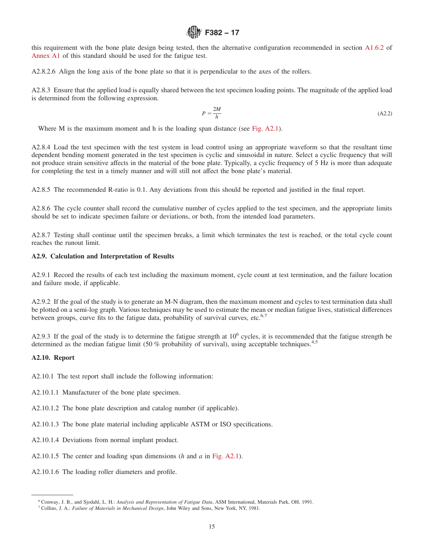this requirement with the bone plate design being tested, then the alternative configuration recommended in section A1.6.2 of Annex A1 of this standard should be used for the fatigue test.

A2.8.2.6 Align the long axis of the bone plate so that it is perpendicular to the axes of the rollers.

A2.8.3 Ensure that the applied load is equally shared between the test specimen loading points. The magnitude of the applied load is determined from the following expression.

$$
P = \frac{2M}{h} \tag{A2.2}
$$

Where M is the maximum moment and h is the loading span distance (see Fig. A2.1).

A2.8.4 Load the test specimen with the test system in load control using an appropriate waveform so that the resultant time dependent bending moment generated in the test specimen is cyclic and sinusoidal in nature. Select a cyclic frequency that will not produce strain sensitive affects in the material of the bone plate. Typically, a cyclic frequency of 5 Hz is more than adequate for completing the test in a timely manner and will still not affect the bone plate's material.

A2.8.5 The recommended R-ratio is 0.1. Any deviations from this should be reported and justified in the final report.

A2.8.6 The cycle counter shall record the cumulative number of cycles applied to the test specimen, and the appropriate limits should be set to indicate specimen failure or deviations, or both, from the intended load parameters.

A2.8.7 Testing shall continue until the specimen breaks, a limit which terminates the test is reached, or the total cycle count reaches the runout limit.

### **A2.9. Calculation and Interpretation of Results**

A2.9.1 Record the results of each test including the maximum moment, cycle count at test termination, and the failure location and failure mode, if applicable.

A2.9.2 If the goal of the study is to generate an M-N diagram, then the maximum moment and cycles to test termination data shall be plotted on a semi-log graph. Various techniques may be used to estimate the mean or median fatigue lives, statistical differences between groups, curve fits to the fatigue data, probability of survival curves, etc. $6,7$ 

A2.9.3 If the goal of the study is to determine the fatigue strength at  $10^6$  cycles, it is recommended that the fatigue strength be determined as the median fatigue limit (50 % probability of survival), using acceptable techniques.<sup>4,5</sup>

### **A2.10. Report**

- A2.10.1 The test report shall include the following information:
- A2.10.1.1 Manufacturer of the bone plate specimen.
- A2.10.1.2 The bone plate description and catalog number (if applicable).
- A2.10.1.3 The bone plate material including applicable ASTM or ISO specifications.
- A2.10.1.4 Deviations from normal implant product.
- A2.10.1.5 The center and loading span dimensions (*h* and *a* in Fig. A2.1).
- A2.10.1.6 The loading roller diameters and profile.

<sup>6</sup> Conway, J. B., and Sjodahl, L. H.: *Analysis and Representation of Fatigue Data*, ASM International, Materials Park, OH, 1991.

<sup>7</sup> Collins, J. A.: *Failure of Materials in Mechanical Design*, John Wiley and Sons, New York, NY, 1981.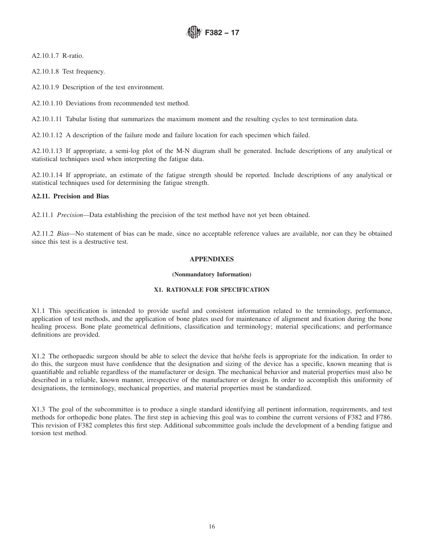A2.10.1.7 R-ratio.

A2.10.1.8 Test frequency.

A2.10.1.9 Description of the test environment.

A2.10.1.10 Deviations from recommended test method.

A2.10.1.11 Tabular listing that summarizes the maximum moment and the resulting cycles to test termination data.

A2.10.1.12 A description of the failure mode and failure location for each specimen which failed.

A2.10.1.13 If appropriate, a semi-log plot of the M-N diagram shall be generated. Include descriptions of any analytical or statistical techniques used when interpreting the fatigue data.

A2.10.1.14 If appropriate, an estimate of the fatigue strength should be reported. Include descriptions of any analytical or statistical techniques used for determining the fatigue strength.

### **A2.11. Precision and Bias**

A2.11.1 *Precision—*Data establishing the precision of the test method have not yet been obtained.

A2.11.2 *Bias—*No statement of bias can be made, since no acceptable reference values are available, nor can they be obtained since this test is a destructive test.

### **APPENDIXES**

#### **(Nonmandatory Information)**

### **X1. RATIONALE FOR SPECIFICATION**

X1.1 This specification is intended to provide useful and consistent information related to the terminology, performance, application of test methods, and the application of bone plates used for maintenance of alignment and fixation during the bone healing process. Bone plate geometrical definitions, classification and terminology; material specifications; and performance definitions are provided.

X1.2 The orthopaedic surgeon should be able to select the device that he/she feels is appropriate for the indication. In order to do this, the surgeon must have confidence that the designation and sizing of the device has a specific, known meaning that is quantifiable and reliable regardless of the manufacturer or design. The mechanical behavior and material properties must also be described in a reliable, known manner, irrespective of the manufacturer or design. In order to accomplish this uniformity of designations, the terminology, mechanical properties, and material properties must be standardized.

X1.3 The goal of the subcommittee is to produce a single standard identifying all pertinent information, requirements, and test methods for orthopedic bone plates. The first step in achieving this goal was to combine the current versions of F382 and F786. This revision of F382 completes this first step. Additional subcommittee goals include the development of a bending fatigue and torsion test method.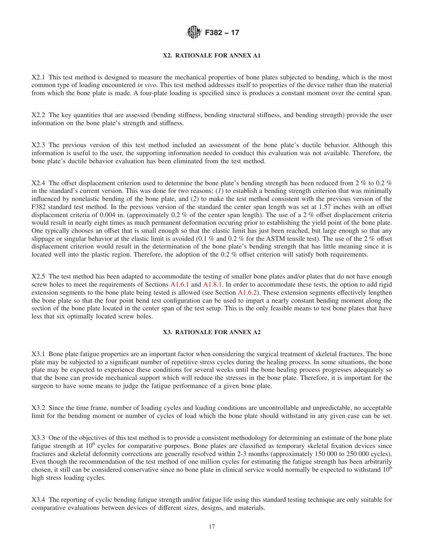### **X2. RATIONALE FOR ANNEX A1**

X2.1 This test method is designed to measure the mechanical properties of bone plates subjected to bending, which is the most common type of loading encountered *in vivo*. This test method addresses itself to properties of the device rather than the material from which the bone plate is made. A four-plate loading is specified since is produces a constant moment over the central span.

X2.2 The key quantities that are assessed (bending stiffness, bending structural stiffness, and bending strength) provide the user information on the bone plate's strength and stiffness.

X2.3 The previous version of this test method included an assessment of the bone plate's ductile behavior. Although this information is useful to the user, the supporting information needed to conduct this evaluation was not available. Therefore, the bone plate's ductile behavior evaluation has been eliminated from the test method.

X2.4 The offset displacement criterion used to determine the bone plate's bending strength has been reduced from 2 % to 0.2 % in the standard's current version. This was done for two reasons; (*1*) to establish a bending strength criterion that was minimally influenced by nonelastic bending of the bone plate, and (*2*) to make the test method consistent with the previous version of the F382 standard test method. In the previous version of the standard the center span length was set at 1.57 inches with an offset displacement criteria of 0.004 in. (approximately 0.2 % of the center span length). The use of a 2 % offset displacement criteria would result in nearly eight times as much permanent deformation occuring prior to establishing the yield point of the bone plate. One typically chooses an offset that is small enough so that the elastic limit has just been reached, but large enough so that any slippage or singular behavior at the elastic limit is avoided (0.1 % and 0.2 % for the ASTM tensile test). The use of the 2 % offset displacement criterion would result in the determination of the bone plate's bending strength that has little meaning since it is located well into the plastic region. Therefore, the adoption of the 0.2 % offset criterion will satisfy both requirements.

X2.5 The test method has been adapted to accommodate the testing of smaller bone plates and/or plates that do not have enough screw holes to meet the requirements of Sections A1.6.1 and A1.8.1. In order to accommodate these tests, the option to add rigid extension segments to the bone plate being tested is allowed (see Section A1.6.2). These extension segments effectively lengthen the bone plate so that the four point bend test configuration can be used to impart a nearly constant bending moment along the section of the bone plate located in the center span of the test setup. This is the only feasible means to test bone plates that have less that six optimally located screw holes.

#### **X3. RATIONALE FOR ANNEX A2**

X3.1 Bone plate fatigue properties are an important factor when considering the surgical treatment of skeletal fractures. The bone plate may be subjected to a significant number of repetitive stress cycles during the healing process. In some situations, the bone plate may be expected to experience these conditions for several weeks until the bone healing process progresses adequately so that the bone can provide mechanical support which will reduce the stresses in the bone plate. Therefore, it is important for the surgeon to have some means to judge the fatigue performance of a given bone plate.

X3.2 Since the time frame, number of loading cycles and loading conditions are uncontrollable and unpredictable, no acceptable limit for the bending moment or number of cycles of load which the bone plate should withstand in any given case can be set.

X3.3 One of the objectives of this test method is to provide a consistent methodology for determining an estimate of the bone plate fatigue strength at 10<sup>6</sup> cycles for comparative purposes. Bone plates are classified as temporary skeletal fixation devices since fractures and skeletal deformity corrections are generally resolved within 2-3 months (approximately 150 000 to 250 000 cycles). Even though the recommendation of the test method of one million cycles for estimating the fatigue strength has been arbitrarily chosen, it still can be considered conservative since no bone plate in clinical service would normally be expected to withstand 10<sup>6</sup> high stress loading cycles.

X3.4 The reporting of cyclic bending fatigue strength and/or fatigue life using this standard testing technique are only suitable for comparative evaluations between devices of different sizes, designs, and materials.